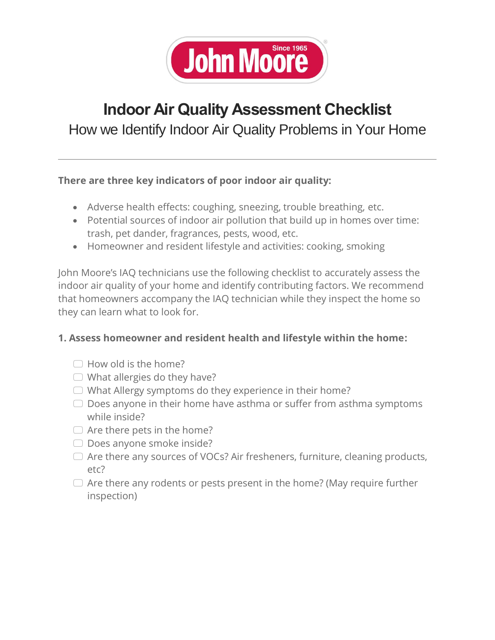

## **Indoor Air Quality Assessment Checklist**

How we Identify Indoor Air Quality Problems in Your Home

## **There are three key indicators of poor indoor air quality:**

- Adverse health effects: coughing, sneezing, trouble breathing, etc.
- Potential sources of indoor air pollution that build up in homes over time: trash, pet dander, fragrances, pests, wood, etc.
- Homeowner and resident lifestyle and activities: cooking, smoking

John Moore's IAQ technicians use the following checklist to accurately assess the indoor air quality of your home and identify contributing factors. We recommend that homeowners accompany the IAQ technician while they inspect the home so they can learn what to look for.

## **1. Assess homeowner and resident health and lifestyle within the home:**

- $\Box$  How old is the home?
- $\Box$  What allergies do they have?
- $\Box$  What Allergy symptoms do they experience in their home?
- $\Box$  Does anyone in their home have asthma or suffer from asthma symptoms while inside?
- $\Box$  Are there pets in the home?
- $\Box$  Does anyone smoke inside?
- $\Box$  Are there any sources of VOCs? Air fresheners, furniture, cleaning products, etc?
- $\Box$  Are there any rodents or pests present in the home? (May require further inspection)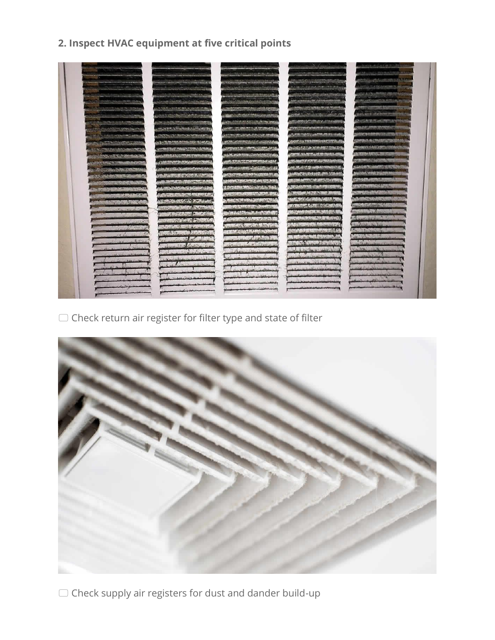## **2. Inspect HVAC equipment at five critical points**



 $\Box$  Check return air register for filter type and state of filter



 $\Box$  Check supply air registers for dust and dander build-up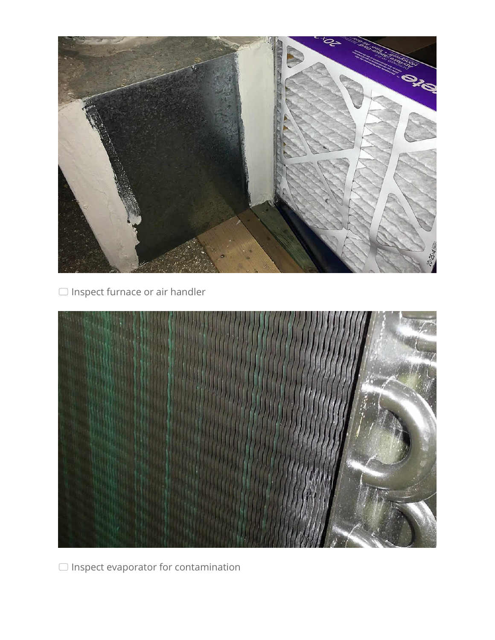

 $\Box$  Inspect furnace or air handler



 $\Box$  Inspect evaporator for contamination